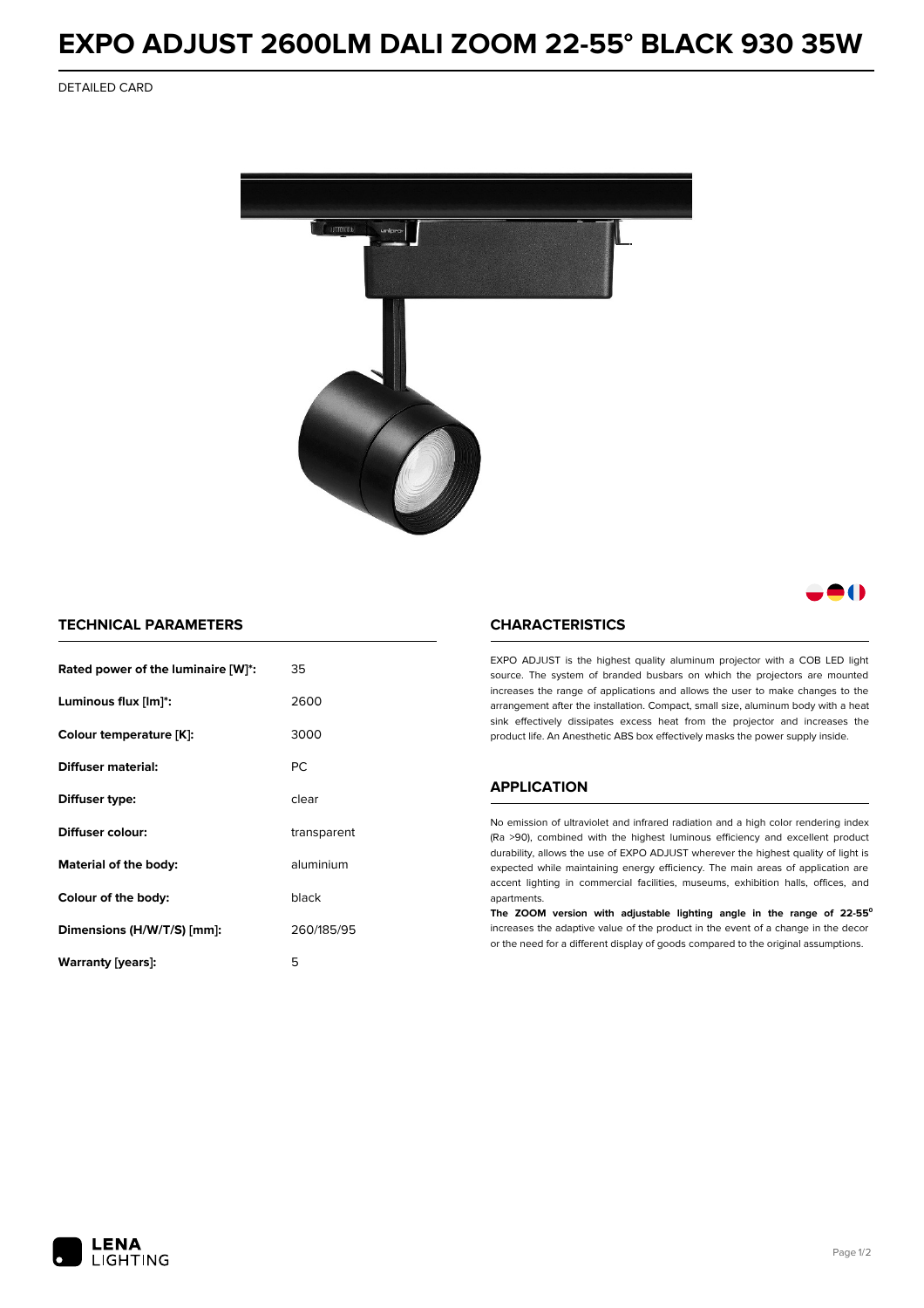## **EXPO ADJUST 2600LM DALI ZOOM 22-55° BLACK 930 35W**

DETAILED CARD



### 80

#### **TECHNICAL PARAMETERS**

| Rated power of the luminaire [W]*: | 35          |
|------------------------------------|-------------|
| Luminous flux [lm]*:               | 2600        |
| Colour temperature [K]:            | 3000        |
| <b>Diffuser material:</b>          | PC.         |
| Diffuser type:                     | clear       |
| Diffuser colour:                   | transparent |
| aluminium<br>Material of the body: |             |
| black<br>Colour of the body:       |             |
| Dimensions (H/W/T/S) [mm]:         | 260/185/95  |
| Warranty (years):                  | 5           |

#### **CHARACTERISTICS**

EXPO ADJUST is the highest quality aluminum projector with a COB LED light source. The system of branded busbars on which the projectors are mounted increases the range of applications and allows the user to make changes to the arrangement after the installation. Compact, small size, aluminum body with a heat sink effectively dissipates excess heat from the projector and increases the product life. An Anesthetic ABS box effectively masks the power supply inside.

#### **APPLICATION**

No emission of ultraviolet and infrared radiation and a high color rendering index (Ra >90), combined with the highest luminous efficiency and excellent product durability, allows the use of EXPO ADJUST wherever the highest quality of light is expected while maintaining energy efficiency. The main areas of application are accent lighting in commercial facilities, museums, exhibition halls, offices, and apartments.

**The ZOOM version with adjustable lighting angle in the range of 22-55⁰** increases the adaptive value of the product in the event of a change in the decor or the need for a different display of goods compared to the original assumptions.